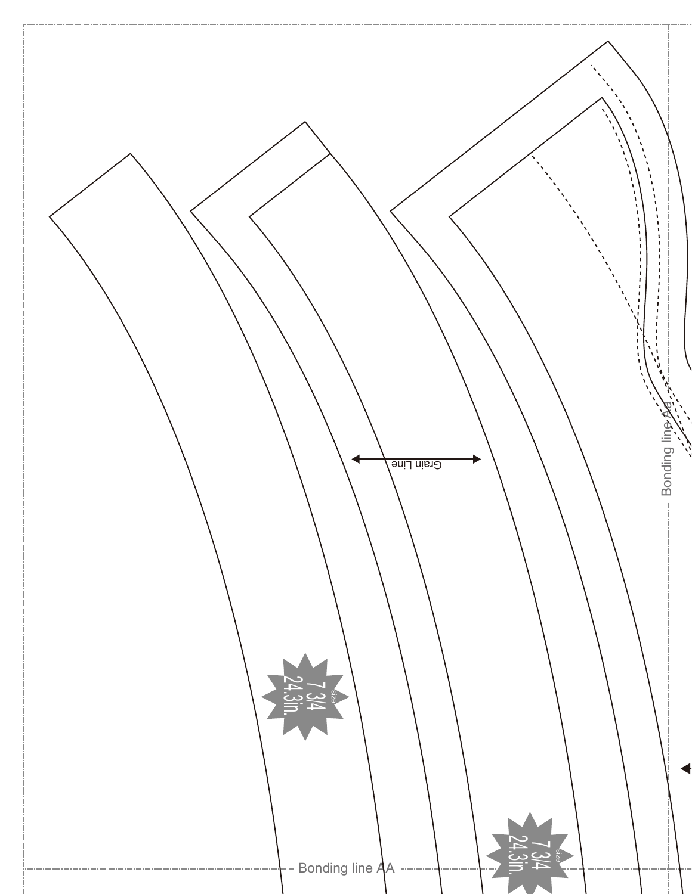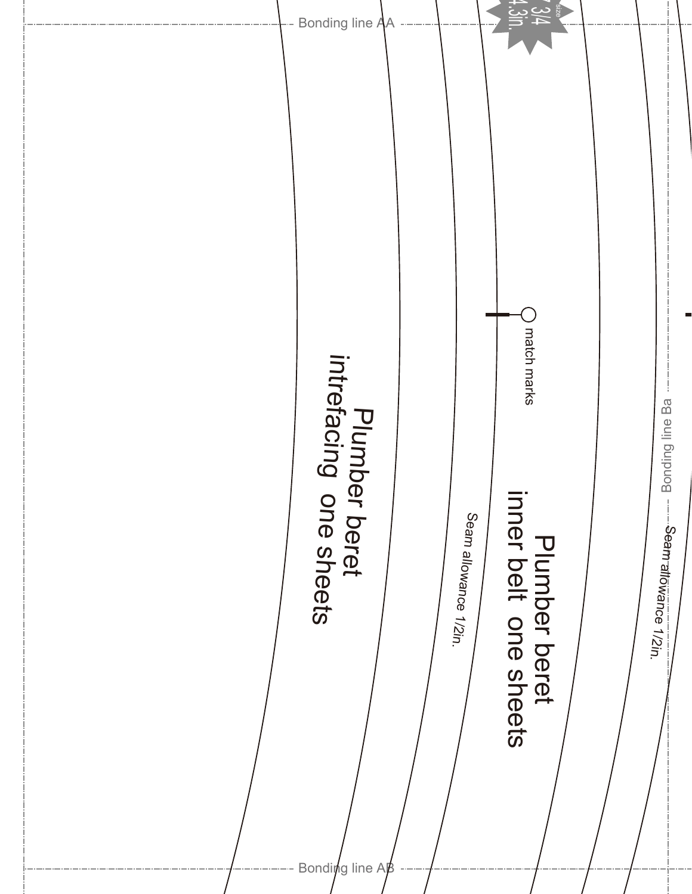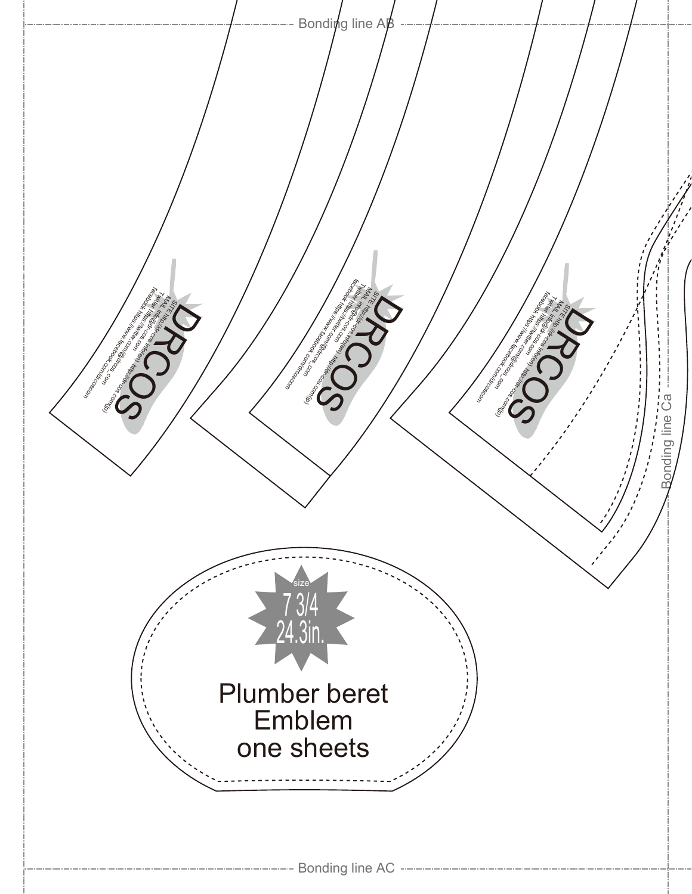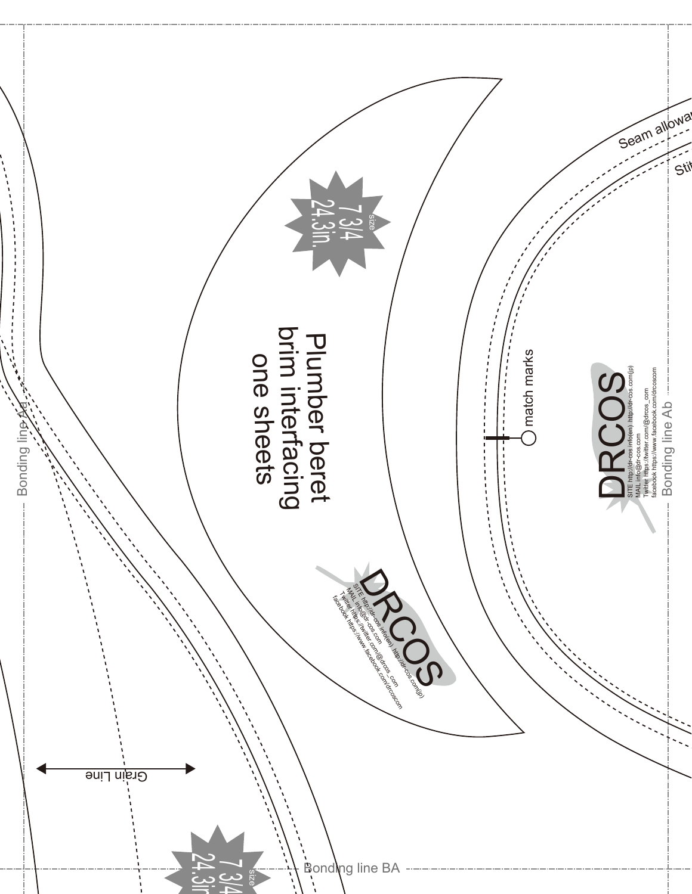![](_page_3_Picture_0.jpeg)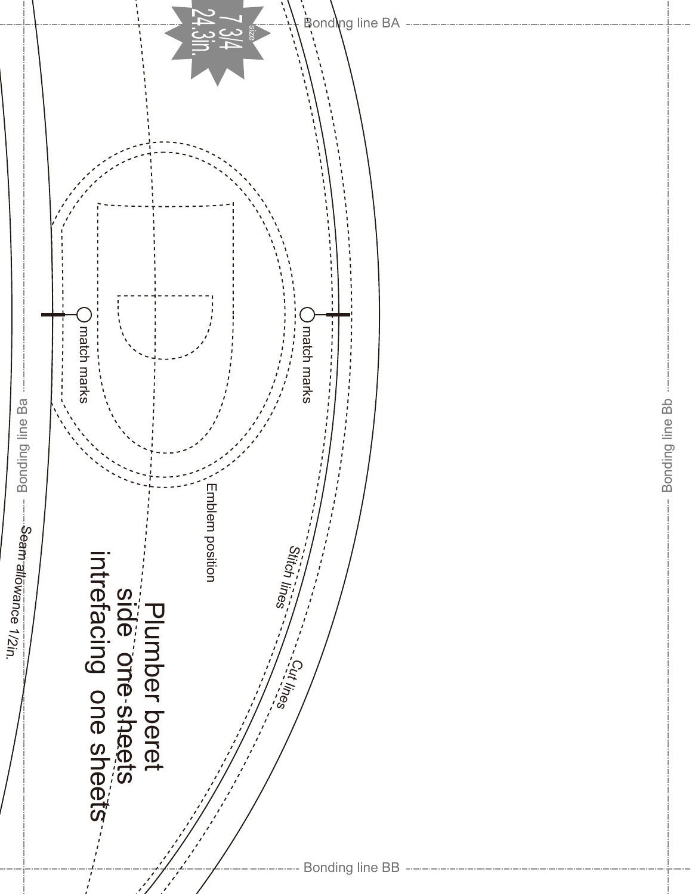![](_page_4_Figure_0.jpeg)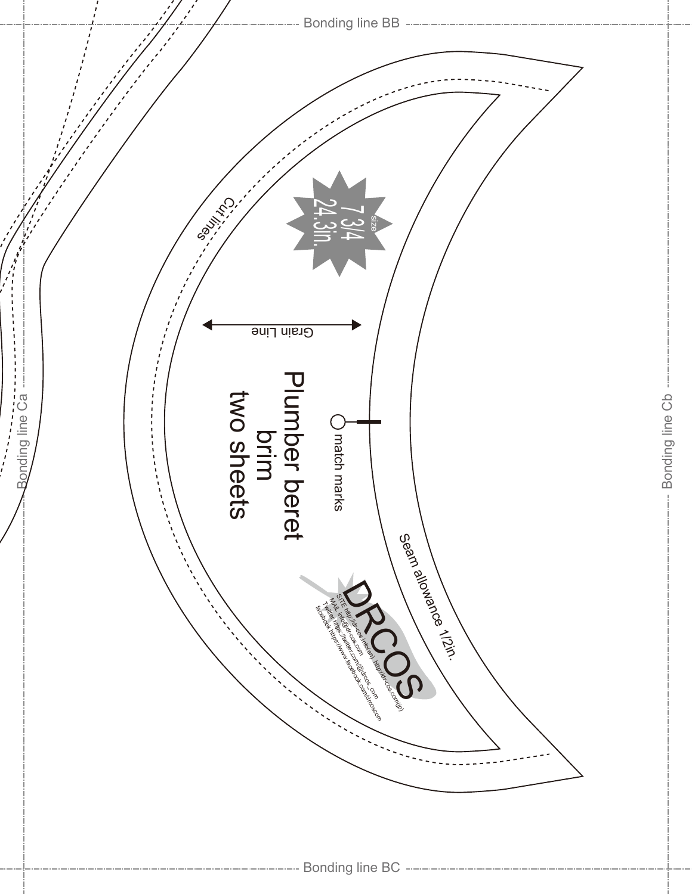![](_page_5_Figure_0.jpeg)